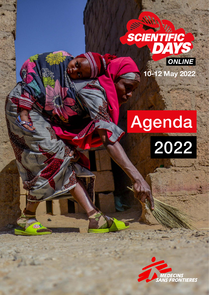

# Agenda



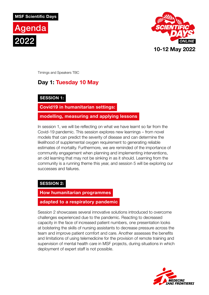



Timings and Speakers TBC

## **Day 1: Tuesday 10 May**

#### **SESSION 1:**

**Covid19 in humanitarian settings:** 

**modelling, measuring and applying lessons**

In session 1, we will be reflecting on what we have learnt so far from the Covid-19 pandemic. This session explores new learnings – from novel models that can predict the severity of disease and can determine the likelihood of supplemental oxygen requirement to generating reliable estimates of mortality. Furthermore, we are reminded of the importance of community engagement when planning and implementing interventions, an old learning that may not be sinking in as it should. Learning from the community is a running theme this year, and session 5 will be exploring our successes and failures.

### **SESSION 2:**

#### **How humanitarian programmes**

#### **adapted to a respiratory pandemic**

Session 2 showcases several innovative solutions introduced to overcome challenges experienced due to the pandemic. Reacting to decreased capacity in the face of increased patient numbers, one presentation looks at bolstering the skills of nursing assistants to decrease pressure across the team and improve patient comfort and care. Another assesses the benefits and limitations of using telemedicine for the provision of remote training and supervision of mental health care in MSF projects, during situations in which deployment of expert staff is not possible.

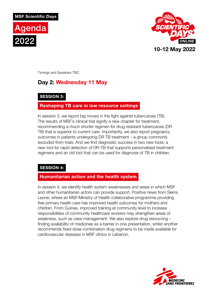



Timings and Speakers TBC

## **Day 2: Wednesday 11 May**

#### **SESSION 3:**

### **Reshaping TB care in low resource settings**

In session 3, we report big moves in the fight against tuberculosis (TB). The results of MSF's clinical trial signify a new chapter for treatment, recommending a much shorter regimen for drug resistant tuberculosis (DR TB) that is superior to current care. Importantly, we also report pregnancy outcomes in patients undergoing DR TB treatment – a group commonly excluded from trials. And we find diagnostic success in two new tools: a new tool for rapid detection of DR-TB that supports personalised treatment regimens and an old tool that can be used for diagnosis of TB in children.

### **SESSION 4:**

#### **Humanitarian action and the health system**

In session 4, we identify health system weaknesses and areas in which MSF and other humanitarian actors can provide support. Positive news from Sierra Leone, where an MSF/Ministry of Health collaborative programme providing free primary health care has improved health outcomes for mothers and children. From Guinea, improved training at community level to increase responsibilities of community healthcare workers may strengthen areas of weakness, such as case management. We also explore drug resourcing – finding availability of medicines as a barrier in one presentation, whilst another recommends fixed dose combination drug regimens to be made available for cardiovascular diseases in MSF clinics in Lebanon.